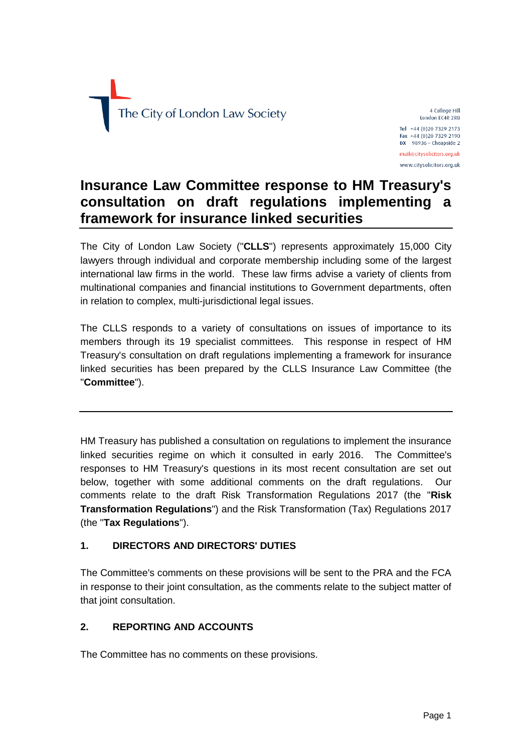

4 College Hill London EC4R 2RB Tel +44 (0)20 7329 2173 Fax +44 (0)20 7329 2190  $DX$  98936 - Cheapside 2 mail@citysolicitors.org.uk www.citysolicitors.org.uk

# **Insurance Law Committee response to HM Treasury's consultation on draft regulations implementing a framework for insurance linked securities**

The City of London Law Society ("**CLLS**") represents approximately 15,000 City lawyers through individual and corporate membership including some of the largest international law firms in the world. These law firms advise a variety of clients from multinational companies and financial institutions to Government departments, often in relation to complex, multi-jurisdictional legal issues.

The CLLS responds to a variety of consultations on issues of importance to its members through its 19 specialist committees. This response in respect of HM Treasury's consultation on draft regulations implementing a framework for insurance linked securities has been prepared by the CLLS Insurance Law Committee (the "**Committee**").

HM Treasury has published a consultation on regulations to implement the insurance linked securities regime on which it consulted in early 2016. The Committee's responses to HM Treasury's questions in its most recent consultation are set out below, together with some additional comments on the draft regulations. Our comments relate to the draft Risk Transformation Regulations 2017 (the "**Risk Transformation Regulations**") and the Risk Transformation (Tax) Regulations 2017 (the "**Tax Regulations**").

# **1. DIRECTORS AND DIRECTORS' DUTIES**

The Committee's comments on these provisions will be sent to the PRA and the FCA in response to their joint consultation, as the comments relate to the subject matter of that joint consultation.

# **2. REPORTING AND ACCOUNTS**

The Committee has no comments on these provisions.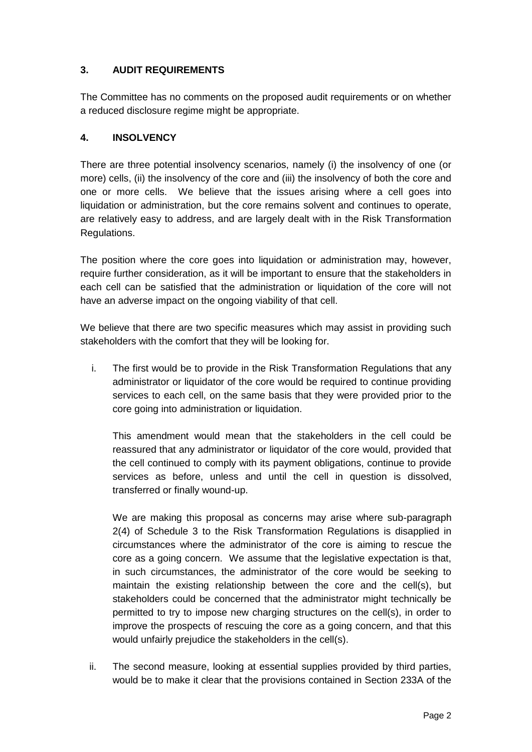# **3. AUDIT REQUIREMENTS**

The Committee has no comments on the proposed audit requirements or on whether a reduced disclosure regime might be appropriate.

#### **4. INSOLVENCY**

There are three potential insolvency scenarios, namely (i) the insolvency of one (or more) cells, (ii) the insolvency of the core and (iii) the insolvency of both the core and one or more cells. We believe that the issues arising where a cell goes into liquidation or administration, but the core remains solvent and continues to operate, are relatively easy to address, and are largely dealt with in the Risk Transformation Regulations.

The position where the core goes into liquidation or administration may, however, require further consideration, as it will be important to ensure that the stakeholders in each cell can be satisfied that the administration or liquidation of the core will not have an adverse impact on the ongoing viability of that cell.

We believe that there are two specific measures which may assist in providing such stakeholders with the comfort that they will be looking for.

i. The first would be to provide in the Risk Transformation Regulations that any administrator or liquidator of the core would be required to continue providing services to each cell, on the same basis that they were provided prior to the core going into administration or liquidation.

This amendment would mean that the stakeholders in the cell could be reassured that any administrator or liquidator of the core would, provided that the cell continued to comply with its payment obligations, continue to provide services as before, unless and until the cell in question is dissolved, transferred or finally wound-up.

We are making this proposal as concerns may arise where sub-paragraph 2(4) of Schedule 3 to the Risk Transformation Regulations is disapplied in circumstances where the administrator of the core is aiming to rescue the core as a going concern. We assume that the legislative expectation is that, in such circumstances, the administrator of the core would be seeking to maintain the existing relationship between the core and the cell(s), but stakeholders could be concerned that the administrator might technically be permitted to try to impose new charging structures on the cell(s), in order to improve the prospects of rescuing the core as a going concern, and that this would unfairly prejudice the stakeholders in the cell(s).

ii. The second measure, looking at essential supplies provided by third parties, would be to make it clear that the provisions contained in Section 233A of the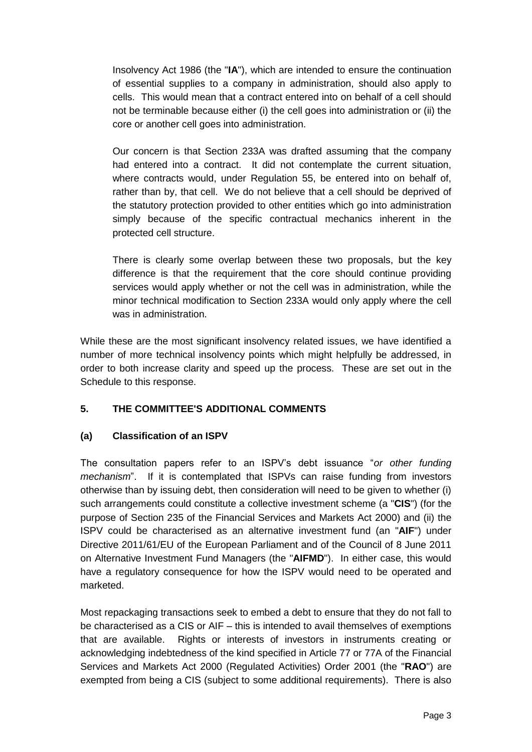Insolvency Act 1986 (the "**IA**"), which are intended to ensure the continuation of essential supplies to a company in administration, should also apply to cells. This would mean that a contract entered into on behalf of a cell should not be terminable because either (i) the cell goes into administration or (ii) the core or another cell goes into administration.

Our concern is that Section 233A was drafted assuming that the company had entered into a contract. It did not contemplate the current situation, where contracts would, under Regulation 55, be entered into on behalf of, rather than by, that cell. We do not believe that a cell should be deprived of the statutory protection provided to other entities which go into administration simply because of the specific contractual mechanics inherent in the protected cell structure.

There is clearly some overlap between these two proposals, but the key difference is that the requirement that the core should continue providing services would apply whether or not the cell was in administration, while the minor technical modification to Section 233A would only apply where the cell was in administration.

While these are the most significant insolvency related issues, we have identified a number of more technical insolvency points which might helpfully be addressed, in order to both increase clarity and speed up the process. These are set out in the Schedule to this response.

# **5. THE COMMITTEE'S ADDITIONAL COMMENTS**

# **(a) Classification of an ISPV**

The consultation papers refer to an ISPV's debt issuance "*or other funding mechanism*". If it is contemplated that ISPVs can raise funding from investors otherwise than by issuing debt, then consideration will need to be given to whether (i) such arrangements could constitute a collective investment scheme (a "**CIS**") (for the purpose of Section 235 of the Financial Services and Markets Act 2000) and (ii) the ISPV could be characterised as an alternative investment fund (an "**AIF**") under Directive 2011/61/EU of the European Parliament and of the Council of 8 June 2011 on Alternative Investment Fund Managers (the "**AIFMD**"). In either case, this would have a regulatory consequence for how the ISPV would need to be operated and marketed.

Most repackaging transactions seek to embed a debt to ensure that they do not fall to be characterised as a CIS or AIF – this is intended to avail themselves of exemptions that are available. Rights or interests of investors in instruments creating or acknowledging indebtedness of the kind specified in Article 77 or 77A of the Financial Services and Markets Act 2000 (Regulated Activities) Order 2001 (the "**RAO**") are exempted from being a CIS (subject to some additional requirements). There is also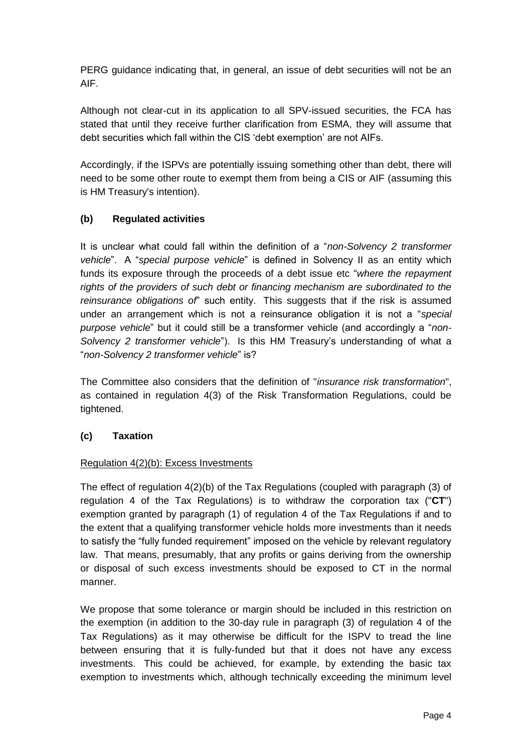PERG guidance indicating that, in general, an issue of debt securities will not be an AIF.

Although not clear-cut in its application to all SPV-issued securities, the FCA has stated that until they receive further clarification from ESMA, they will assume that debt securities which fall within the CIS 'debt exemption' are not AIFs.

Accordingly, if the ISPVs are potentially issuing something other than debt, there will need to be some other route to exempt them from being a CIS or AIF (assuming this is HM Treasury's intention).

# **(b) Regulated activities**

It is unclear what could fall within the definition of a "*non-Solvency 2 transformer vehicle*". A "*special purpose vehicle*" is defined in Solvency II as an entity which funds its exposure through the proceeds of a debt issue etc "*where the repayment rights of the providers of such debt or financing mechanism are subordinated to the reinsurance obligations of*" such entity. This suggests that if the risk is assumed under an arrangement which is not a reinsurance obligation it is not a "*special purpose vehicle*" but it could still be a transformer vehicle (and accordingly a "*non-Solvency 2 transformer vehicle*"). Is this HM Treasury's understanding of what a "*non-Solvency 2 transformer vehicle*" is?

The Committee also considers that the definition of "*insurance risk transformation*", as contained in regulation 4(3) of the Risk Transformation Regulations, could be tightened.

# **(c) Taxation**

# Regulation 4(2)(b): Excess Investments

The effect of regulation 4(2)(b) of the Tax Regulations (coupled with paragraph (3) of regulation 4 of the Tax Regulations) is to withdraw the corporation tax ("**CT**") exemption granted by paragraph (1) of regulation 4 of the Tax Regulations if and to the extent that a qualifying transformer vehicle holds more investments than it needs to satisfy the "fully funded requirement" imposed on the vehicle by relevant regulatory law. That means, presumably, that any profits or gains deriving from the ownership or disposal of such excess investments should be exposed to CT in the normal manner.

We propose that some tolerance or margin should be included in this restriction on the exemption (in addition to the 30-day rule in paragraph (3) of regulation 4 of the Tax Regulations) as it may otherwise be difficult for the ISPV to tread the line between ensuring that it is fully-funded but that it does not have any excess investments. This could be achieved, for example, by extending the basic tax exemption to investments which, although technically exceeding the minimum level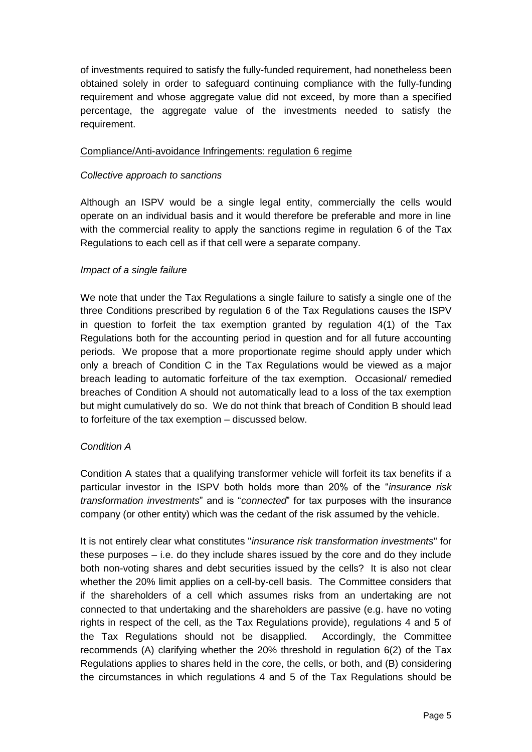of investments required to satisfy the fully-funded requirement, had nonetheless been obtained solely in order to safeguard continuing compliance with the fully-funding requirement and whose aggregate value did not exceed, by more than a specified percentage, the aggregate value of the investments needed to satisfy the requirement.

#### Compliance/Anti-avoidance Infringements: regulation 6 regime

#### *Collective approach to sanctions*

Although an ISPV would be a single legal entity, commercially the cells would operate on an individual basis and it would therefore be preferable and more in line with the commercial reality to apply the sanctions regime in regulation 6 of the Tax Regulations to each cell as if that cell were a separate company.

#### *Impact of a single failure*

We note that under the Tax Regulations a single failure to satisfy a single one of the three Conditions prescribed by regulation 6 of the Tax Regulations causes the ISPV in question to forfeit the tax exemption granted by regulation 4(1) of the Tax Regulations both for the accounting period in question and for all future accounting periods. We propose that a more proportionate regime should apply under which only a breach of Condition C in the Tax Regulations would be viewed as a major breach leading to automatic forfeiture of the tax exemption. Occasional/ remedied breaches of Condition A should not automatically lead to a loss of the tax exemption but might cumulatively do so. We do not think that breach of Condition B should lead to forfeiture of the tax exemption – discussed below.

# *Condition A*

Condition A states that a qualifying transformer vehicle will forfeit its tax benefits if a particular investor in the ISPV both holds more than 20% of the "*insurance risk transformation investments*" and is "*connected*" for tax purposes with the insurance company (or other entity) which was the cedant of the risk assumed by the vehicle.

It is not entirely clear what constitutes "*insurance risk transformation investments*" for these purposes – i.e. do they include shares issued by the core and do they include both non-voting shares and debt securities issued by the cells? It is also not clear whether the 20% limit applies on a cell-by-cell basis. The Committee considers that if the shareholders of a cell which assumes risks from an undertaking are not connected to that undertaking and the shareholders are passive (e.g. have no voting rights in respect of the cell, as the Tax Regulations provide), regulations 4 and 5 of the Tax Regulations should not be disapplied. Accordingly, the Committee recommends (A) clarifying whether the 20% threshold in regulation 6(2) of the Tax Regulations applies to shares held in the core, the cells, or both, and (B) considering the circumstances in which regulations 4 and 5 of the Tax Regulations should be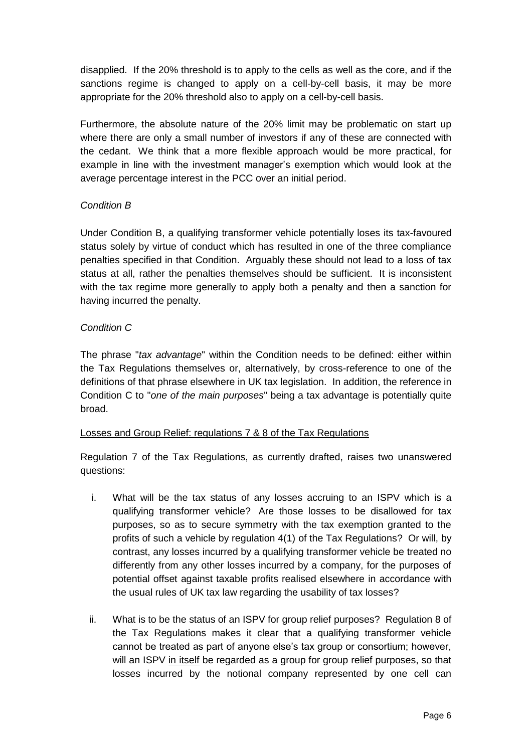disapplied. If the 20% threshold is to apply to the cells as well as the core, and if the sanctions regime is changed to apply on a cell-by-cell basis, it may be more appropriate for the 20% threshold also to apply on a cell-by-cell basis.

Furthermore, the absolute nature of the 20% limit may be problematic on start up where there are only a small number of investors if any of these are connected with the cedant. We think that a more flexible approach would be more practical, for example in line with the investment manager's exemption which would look at the average percentage interest in the PCC over an initial period.

# *Condition B*

Under Condition B, a qualifying transformer vehicle potentially loses its tax-favoured status solely by virtue of conduct which has resulted in one of the three compliance penalties specified in that Condition. Arguably these should not lead to a loss of tax status at all, rather the penalties themselves should be sufficient. It is inconsistent with the tax regime more generally to apply both a penalty and then a sanction for having incurred the penalty.

# *Condition C*

The phrase "*tax advantage*" within the Condition needs to be defined: either within the Tax Regulations themselves or, alternatively, by cross-reference to one of the definitions of that phrase elsewhere in UK tax legislation. In addition, the reference in Condition C to "*one of the main purposes*" being a tax advantage is potentially quite broad.

#### Losses and Group Relief: regulations 7 & 8 of the Tax Regulations

Regulation 7 of the Tax Regulations, as currently drafted, raises two unanswered questions:

- i. What will be the tax status of any losses accruing to an ISPV which is a qualifying transformer vehicle? Are those losses to be disallowed for tax purposes, so as to secure symmetry with the tax exemption granted to the profits of such a vehicle by regulation 4(1) of the Tax Regulations? Or will, by contrast, any losses incurred by a qualifying transformer vehicle be treated no differently from any other losses incurred by a company, for the purposes of potential offset against taxable profits realised elsewhere in accordance with the usual rules of UK tax law regarding the usability of tax losses?
- ii. What is to be the status of an ISPV for group relief purposes? Regulation 8 of the Tax Regulations makes it clear that a qualifying transformer vehicle cannot be treated as part of anyone else's tax group or consortium; however, will an ISPV in itself be regarded as a group for group relief purposes, so that losses incurred by the notional company represented by one cell can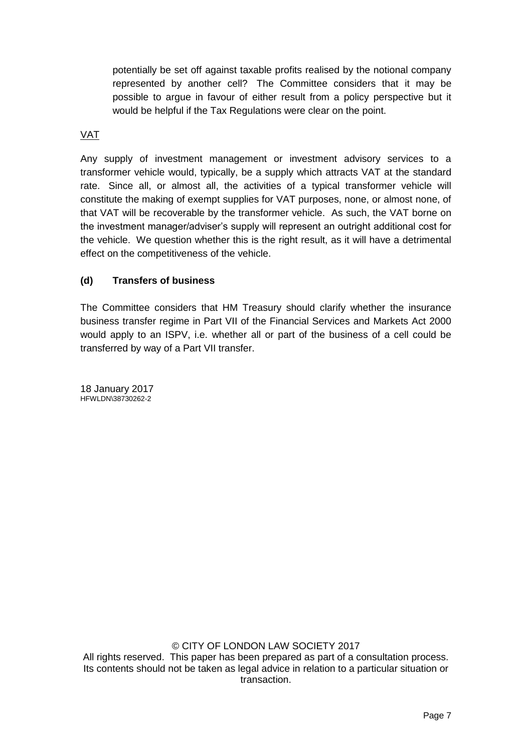potentially be set off against taxable profits realised by the notional company represented by another cell? The Committee considers that it may be possible to argue in favour of either result from a policy perspective but it would be helpful if the Tax Regulations were clear on the point.

# VAT

Any supply of investment management or investment advisory services to a transformer vehicle would, typically, be a supply which attracts VAT at the standard rate. Since all, or almost all, the activities of a typical transformer vehicle will constitute the making of exempt supplies for VAT purposes, none, or almost none, of that VAT will be recoverable by the transformer vehicle. As such, the VAT borne on the investment manager/adviser's supply will represent an outright additional cost for the vehicle. We question whether this is the right result, as it will have a detrimental effect on the competitiveness of the vehicle.

#### **(d) Transfers of business**

The Committee considers that HM Treasury should clarify whether the insurance business transfer regime in Part VII of the Financial Services and Markets Act 2000 would apply to an ISPV, i.e. whether all or part of the business of a cell could be transferred by way of a Part VII transfer.

18 January 2017 HFWLDN\38730262-2

© CITY OF LONDON LAW SOCIETY 2017 All rights reserved. This paper has been prepared as part of a consultation process. Its contents should not be taken as legal advice in relation to a particular situation or transaction.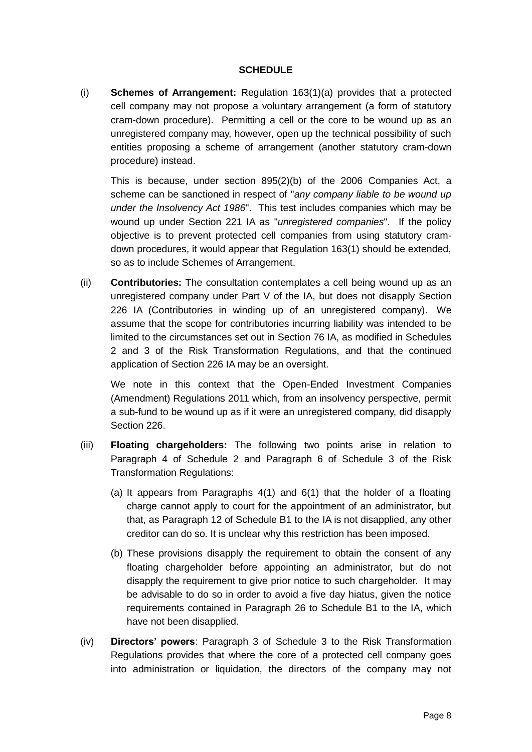#### **SCHEDULE**

(i) **Schemes of Arrangement:** Regulation 163(1)(a) provides that a protected cell company may not propose a voluntary arrangement (a form of statutory cram-down procedure). Permitting a cell or the core to be wound up as an unregistered company may, however, open up the technical possibility of such entities proposing a scheme of arrangement (another statutory cram-down procedure) instead.

This is because, under section 895(2)(b) of the 2006 Companies Act, a scheme can be sanctioned in respect of "*any company liable to be wound up under the Insolvency Act 1986*". This test includes companies which may be wound up under Section 221 IA as "*unregistered companies*". If the policy objective is to prevent protected cell companies from using statutory cramdown procedures, it would appear that Regulation 163(1) should be extended, so as to include Schemes of Arrangement.

(ii) **Contributories:** The consultation contemplates a cell being wound up as an unregistered company under Part V of the IA, but does not disapply Section 226 IA (Contributories in winding up of an unregistered company). We assume that the scope for contributories incurring liability was intended to be limited to the circumstances set out in Section 76 IA, as modified in Schedules 2 and 3 of the Risk Transformation Regulations, and that the continued application of Section 226 IA may be an oversight.

We note in this context that the Open-Ended Investment Companies (Amendment) Regulations 2011 which, from an insolvency perspective, permit a sub-fund to be wound up as if it were an unregistered company, did disapply Section 226.

- (iii) **Floating chargeholders:** The following two points arise in relation to Paragraph 4 of Schedule 2 and Paragraph 6 of Schedule 3 of the Risk Transformation Regulations:
	- (a) It appears from Paragraphs 4(1) and 6(1) that the holder of a floating charge cannot apply to court for the appointment of an administrator, but that, as Paragraph 12 of Schedule B1 to the IA is not disapplied, any other creditor can do so. It is unclear why this restriction has been imposed.
	- (b) These provisions disapply the requirement to obtain the consent of any floating chargeholder before appointing an administrator, but do not disapply the requirement to give prior notice to such chargeholder. It may be advisable to do so in order to avoid a five day hiatus, given the notice requirements contained in Paragraph 26 to Schedule B1 to the IA, which have not been disapplied.
- (iv) **Directors' powers**: Paragraph 3 of Schedule 3 to the Risk Transformation Regulations provides that where the core of a protected cell company goes into administration or liquidation, the directors of the company may not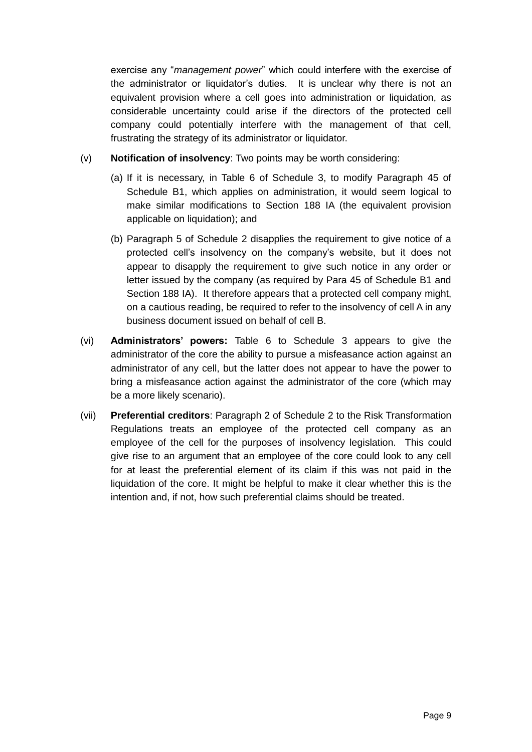exercise any "*management power*" which could interfere with the exercise of the administrator or liquidator's duties. It is unclear why there is not an equivalent provision where a cell goes into administration or liquidation, as considerable uncertainty could arise if the directors of the protected cell company could potentially interfere with the management of that cell, frustrating the strategy of its administrator or liquidator.

- (v) **Notification of insolvency**: Two points may be worth considering:
	- (a) If it is necessary, in Table 6 of Schedule 3, to modify Paragraph 45 of Schedule B1, which applies on administration, it would seem logical to make similar modifications to Section 188 IA (the equivalent provision applicable on liquidation); and
	- (b) Paragraph 5 of Schedule 2 disapplies the requirement to give notice of a protected cell's insolvency on the company's website, but it does not appear to disapply the requirement to give such notice in any order or letter issued by the company (as required by Para 45 of Schedule B1 and Section 188 IA). It therefore appears that a protected cell company might, on a cautious reading, be required to refer to the insolvency of cell A in any business document issued on behalf of cell B.
- (vi) **Administrators' powers:** Table 6 to Schedule 3 appears to give the administrator of the core the ability to pursue a misfeasance action against an administrator of any cell, but the latter does not appear to have the power to bring a misfeasance action against the administrator of the core (which may be a more likely scenario).
- (vii) **Preferential creditors**: Paragraph 2 of Schedule 2 to the Risk Transformation Regulations treats an employee of the protected cell company as an employee of the cell for the purposes of insolvency legislation. This could give rise to an argument that an employee of the core could look to any cell for at least the preferential element of its claim if this was not paid in the liquidation of the core. It might be helpful to make it clear whether this is the intention and, if not, how such preferential claims should be treated.